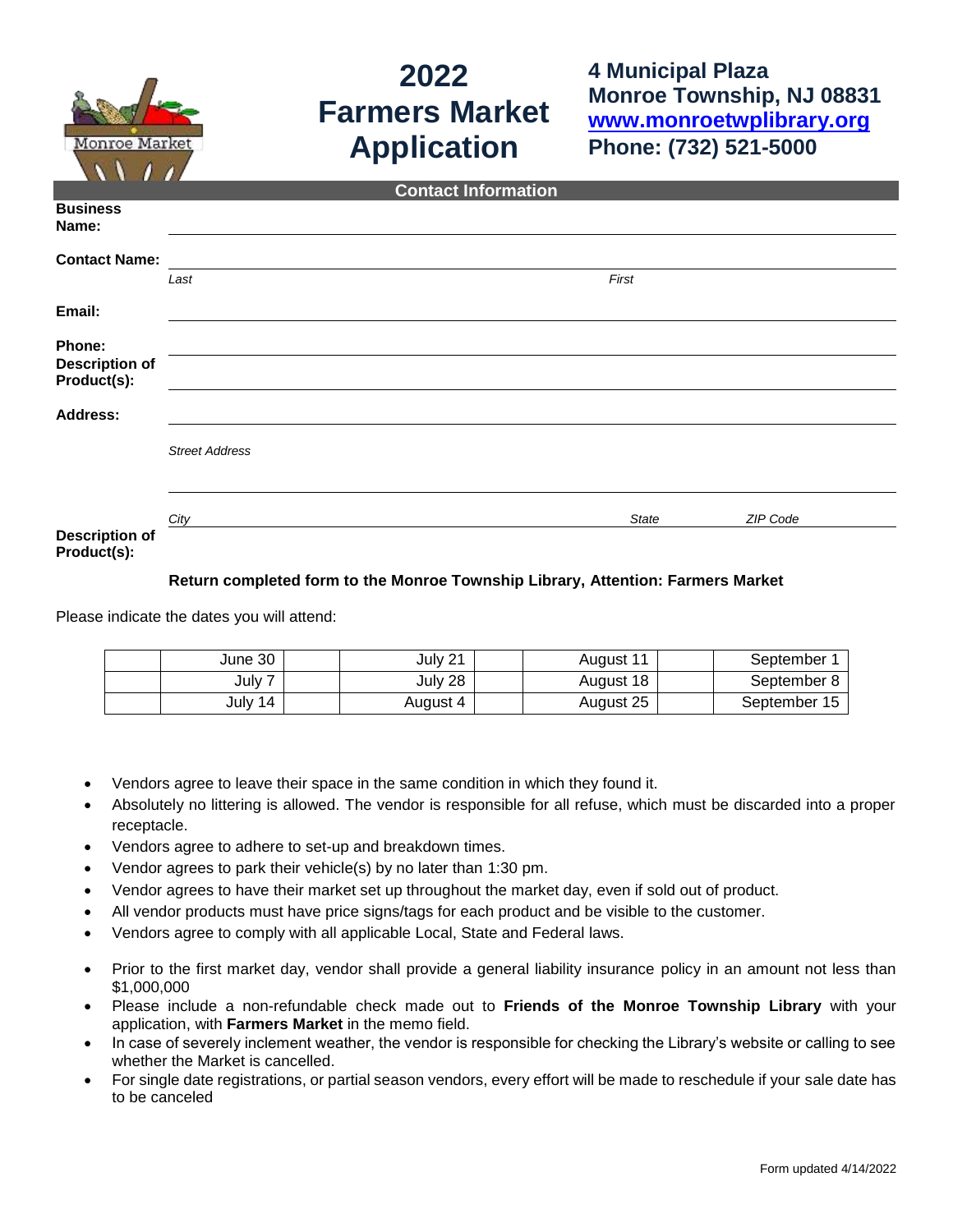

## **2022 Farmers Market Application**

**4 Municipal Plaza Monroe Township, NJ 08831 [www.monroetwplibrary.org](http://www.monroetwplibrary.org/) Phone: (732) 521-5000**

| <b>Contact Information</b>           |                       |  |       |          |  |
|--------------------------------------|-----------------------|--|-------|----------|--|
| <b>Business</b><br>Name:             |                       |  |       |          |  |
| <b>Contact Name:</b>                 |                       |  |       |          |  |
|                                      | Last                  |  | First |          |  |
| Email:                               |                       |  |       |          |  |
| Phone:                               |                       |  |       |          |  |
| <b>Description of</b><br>Product(s): |                       |  |       |          |  |
| <b>Address:</b>                      |                       |  |       |          |  |
|                                      | <b>Street Address</b> |  |       |          |  |
|                                      |                       |  |       |          |  |
| <b>Description of</b>                | City                  |  | State | ZIP Code |  |
| Product(s):                          |                       |  |       |          |  |

## **Return completed form to the Monroe Township Library, Attention: Farmers Market**

Please indicate the dates you will attend:

| June 30  | July 21  | August 11 | September    |
|----------|----------|-----------|--------------|
| July $7$ | July 28  | August 18 | September    |
| July 14  | August 4 | August 25 | September 15 |

- Vendors agree to leave their space in the same condition in which they found it.
- Absolutely no littering is allowed. The vendor is responsible for all refuse, which must be discarded into a proper receptacle.
- Vendors agree to adhere to set-up and breakdown times.
- Vendor agrees to park their vehicle(s) by no later than 1:30 pm.
- Vendor agrees to have their market set up throughout the market day, even if sold out of product.
- All vendor products must have price signs/tags for each product and be visible to the customer.
- Vendors agree to comply with all applicable Local, State and Federal laws.
- Prior to the first market day, vendor shall provide a general liability insurance policy in an amount not less than \$1,000,000
- Please include a non-refundable check made out to **Friends of the Monroe Township Library** with your application, with **Farmers Market** in the memo field.
- In case of severely inclement weather, the vendor is responsible for checking the Library's website or calling to see whether the Market is cancelled.
- For single date registrations, or partial season vendors, every effort will be made to reschedule if your sale date has to be canceled